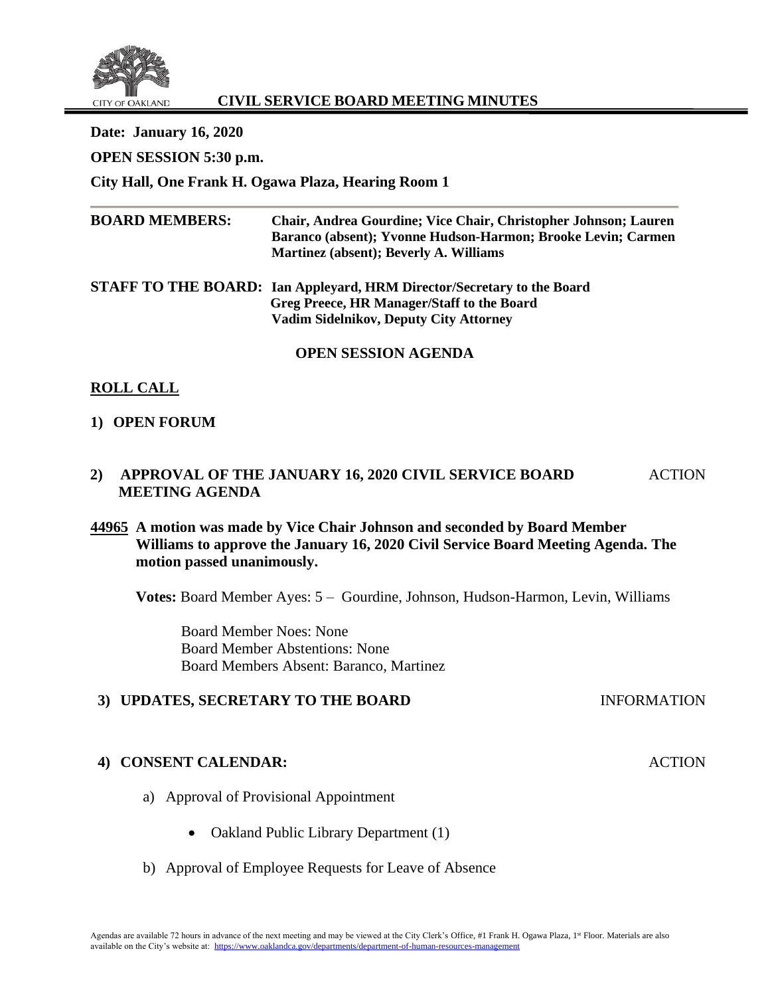

# **CIVIL SERVICE BOARD MEETING MINUTES**

**Date: January 16, 2020 OPEN SESSION 5:30 p.m. City Hall, One Frank H. Ogawa Plaza, Hearing Room 1**

| <b>BOARD MEMBERS:</b> | Chair, Andrea Gourdine; Vice Chair, Christopher Johnson; Lauren<br>Baranco (absent); Yvonne Hudson-Harmon; Brooke Levin; Carmen<br>Martinez (absent); Beverly A. Williams |
|-----------------------|---------------------------------------------------------------------------------------------------------------------------------------------------------------------------|
|                       | STAFF TO THE BOARD: Ian Appleyard, HRM Director/Secretary to the Board                                                                                                    |
|                       | Greg Preece, HR Manager/Staff to the Board                                                                                                                                |
|                       | <b>Vadim Sidelnikov, Deputy City Attorney</b>                                                                                                                             |
|                       | <b>OPEN SESSION AGENDA</b>                                                                                                                                                |

# **ROLL CALL**

## **1) OPEN FORUM**

**2) APPROVAL OF THE JANUARY 16, 2020 CIVIL SERVICE BOARD MEETING AGENDA** ACTION

# **44965 A motion was made by Vice Chair Johnson and seconded by Board Member Williams to approve the January 16, 2020 Civil Service Board Meeting Agenda. The motion passed unanimously.**

**Votes:** Board Member Ayes: 5 – Gourdine, Johnson, Hudson-Harmon, Levin, Williams

**ACTION** 

Board Member Noes: None Board Member Abstentions: None Board Members Absent: Baranco, Martinez

### **3) UPDATES, SECRETARY TO THE BOARD** INFORMATION

### **4) CONSENT CALENDAR:**

- a) Approval of Provisional Appointment
	- Oakland Public Library Department (1)
- b) Approval of Employee Requests for Leave of Absence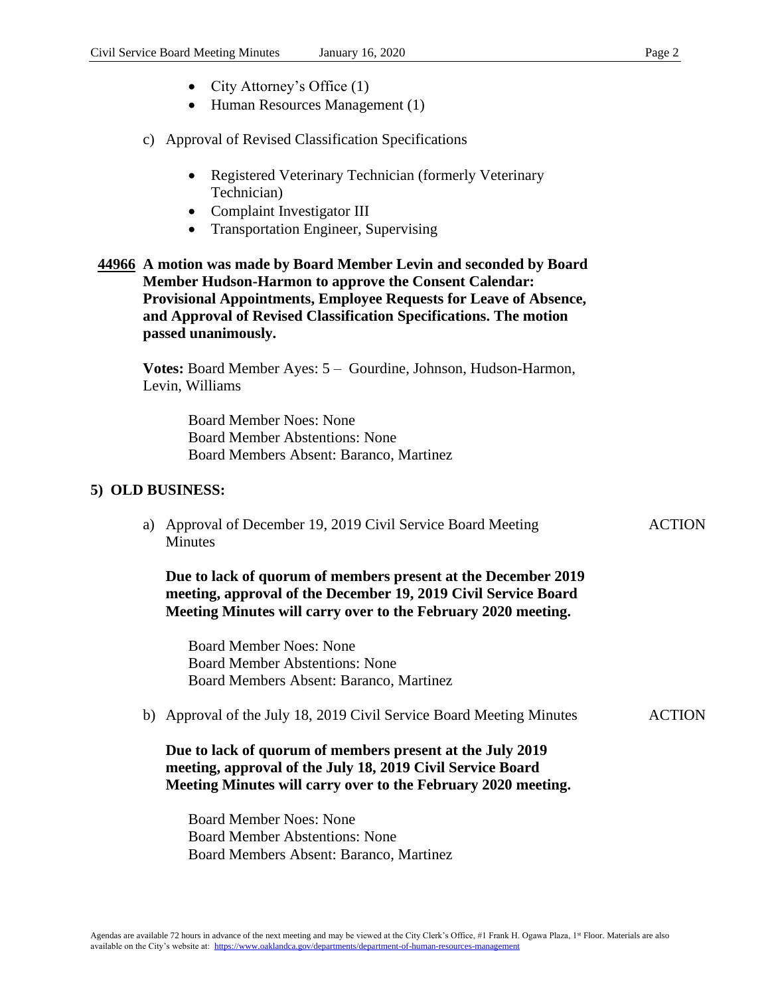• Human Resources Management (1)

#### c) Approval of Revised Classification Specifications

- Registered Veterinary Technician (formerly Veterinary Technician)
- Complaint Investigator III
- Transportation Engineer, Supervising

## **44966 A motion was made by Board Member Levin and seconded by Board Member Hudson-Harmon to approve the Consent Calendar: Provisional Appointments, Employee Requests for Leave of Absence, and Approval of Revised Classification Specifications. The motion passed unanimously.**

**Votes:** Board Member Ayes: 5 – Gourdine, Johnson, Hudson-Harmon, Levin, Williams

> Board Member Noes: None Board Member Abstentions: None Board Members Absent: Baranco, Martinez

### **5) OLD BUSINESS:**

a) Approval of December 19, 2019 Civil Service Board Meeting **Minutes** 

**Due to lack of quorum of members present at the December 2019 meeting, approval of the December 19, 2019 Civil Service Board Meeting Minutes will carry over to the February 2020 meeting.**

Board Member Noes: None Board Member Abstentions: None Board Members Absent: Baranco, Martinez

b) Approval of the July 18, 2019 Civil Service Board Meeting Minutes ACTION

## **Due to lack of quorum of members present at the July 2019 meeting, approval of the July 18, 2019 Civil Service Board Meeting Minutes will carry over to the February 2020 meeting.**

Board Member Noes: None Board Member Abstentions: None Board Members Absent: Baranco, Martinez **ACTION**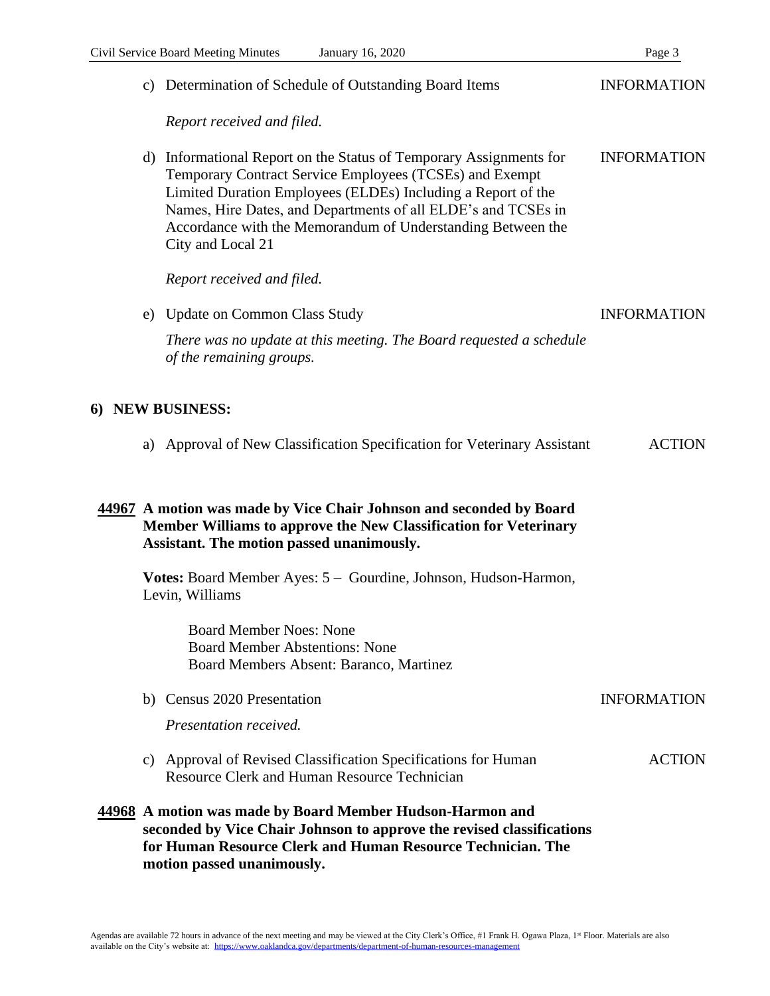|                  |                                                                                                                                                                                      | c) Determination of Schedule of Outstanding Board Items                                                                                                                                                                                                                                                                                         | <b>INFORMATION</b> |  |
|------------------|--------------------------------------------------------------------------------------------------------------------------------------------------------------------------------------|-------------------------------------------------------------------------------------------------------------------------------------------------------------------------------------------------------------------------------------------------------------------------------------------------------------------------------------------------|--------------------|--|
|                  |                                                                                                                                                                                      | Report received and filed.                                                                                                                                                                                                                                                                                                                      |                    |  |
|                  | d)                                                                                                                                                                                   | Informational Report on the Status of Temporary Assignments for<br>Temporary Contract Service Employees (TCSEs) and Exempt<br>Limited Duration Employees (ELDEs) Including a Report of the<br>Names, Hire Dates, and Departments of all ELDE's and TCSEs in<br>Accordance with the Memorandum of Understanding Between the<br>City and Local 21 | <b>INFORMATION</b> |  |
|                  | Report received and filed.                                                                                                                                                           |                                                                                                                                                                                                                                                                                                                                                 |                    |  |
|                  |                                                                                                                                                                                      | e) Update on Common Class Study                                                                                                                                                                                                                                                                                                                 | <b>INFORMATION</b> |  |
|                  |                                                                                                                                                                                      | There was no update at this meeting. The Board requested a schedule<br>of the remaining groups.                                                                                                                                                                                                                                                 |                    |  |
| 6) NEW BUSINESS: |                                                                                                                                                                                      |                                                                                                                                                                                                                                                                                                                                                 |                    |  |
|                  |                                                                                                                                                                                      | a) Approval of New Classification Specification for Veterinary Assistant                                                                                                                                                                                                                                                                        | <b>ACTION</b>      |  |
|                  | 44967 A motion was made by Vice Chair Johnson and seconded by Board<br>Member Williams to approve the New Classification for Veterinary<br>Assistant. The motion passed unanimously. |                                                                                                                                                                                                                                                                                                                                                 |                    |  |
|                  |                                                                                                                                                                                      | Votes: Board Member Ayes: 5 - Gourdine, Johnson, Hudson-Harmon,<br>Levin, Williams                                                                                                                                                                                                                                                              |                    |  |
|                  |                                                                                                                                                                                      | <b>Board Member Noes: None</b><br><b>Board Member Abstentions: None</b><br>Board Members Absent: Baranco, Martinez                                                                                                                                                                                                                              |                    |  |
|                  |                                                                                                                                                                                      | b) Census 2020 Presentation                                                                                                                                                                                                                                                                                                                     | <b>INFORMATION</b> |  |
|                  |                                                                                                                                                                                      | Presentation received.                                                                                                                                                                                                                                                                                                                          |                    |  |
|                  |                                                                                                                                                                                      | c) Approval of Revised Classification Specifications for Human<br><b>Resource Clerk and Human Resource Technician</b>                                                                                                                                                                                                                           | <b>ACTION</b>      |  |
|                  |                                                                                                                                                                                      | 44968 A motion was made by Board Member Hudson-Harmon and<br>seconded by Vice Chair Johnson to approve the revised classifications<br>for Human Resource Clerk and Human Resource Technician. The<br>motion passed unanimously.                                                                                                                 |                    |  |